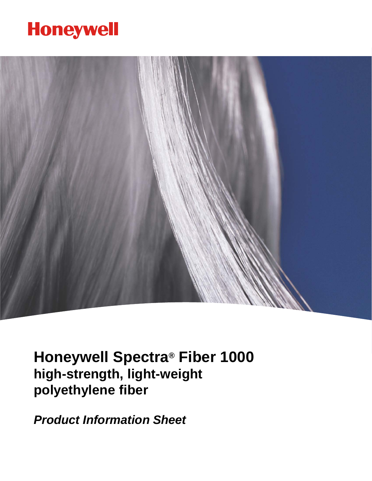# **Honeywell**



**Honeywell Spectra® Fiber 1000 high-strength, light-weight polyethylene fiber**

*Product Information Sheet*